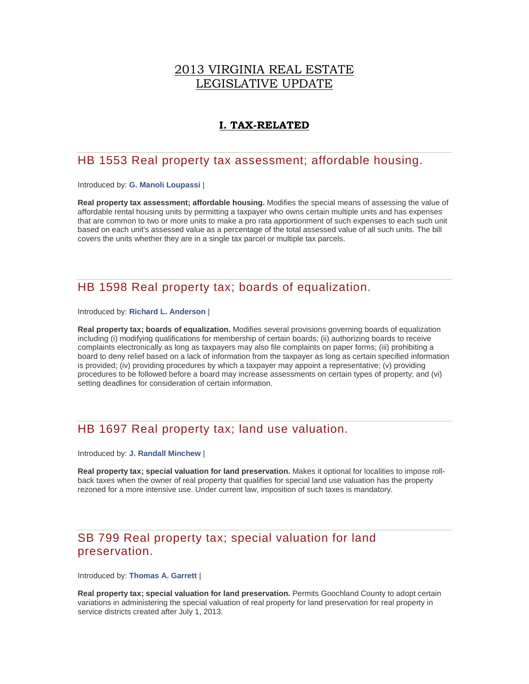### 2013 VIRGINIA REAL ESTATE LEGISLATIVE UPDATE

### **I. TAX-RELATED**

### HB 1553 Real property tax assessment; affordable housing.

Introduced by: **[G. Manoli Loupassi](http://lis.virginia.gov/cgi-bin/legp604.exe?131+mbr+H197)** |

**Real property tax assessment; affordable housing.** Modifies the special means of assessing the value of affordable rental housing units by permitting a taxpayer who owns certain multiple units and has expenses that are common to two or more units to make a pro rata apportionment of such expenses to each such unit based on each unit's assessed value as a percentage of the total assessed value of all such units. The bill covers the units whether they are in a single tax parcel or multiple tax parcels.

## HB 1598 Real property tax; boards of equalization.

Introduced by: **[Richard L. Anderson](http://lis.virginia.gov/cgi-bin/legp604.exe?131+mbr+H210)** |

**Real property tax; boards of equalization.** Modifies several provisions governing boards of equalization including (i) modifying qualifications for membership of certain boards; (ii) authorizing boards to receive complaints electronically as long as taxpayers may also file complaints on paper forms; (iii) prohibiting a board to deny relief based on a lack of information from the taxpayer as long as certain specified information is provided; (iv) providing procedures by which a taxpayer may appoint a representative; (v) providing procedures to be followed before a board may increase assessments on certain types of property; and (vi) setting deadlines for consideration of certain information.

### HB 1697 Real property tax; land use valuation.

Introduced by: **[J. Randall Minchew](http://lis.virginia.gov/cgi-bin/legp604.exe?131+mbr+H240)** |

**Real property tax; special valuation for land preservation.** Makes it optional for localities to impose rollback taxes when the owner of real property that qualifies for special land use valuation has the property rezoned for a more intensive use. Under current law, imposition of such taxes is mandatory.

### SB 799 Real property tax; special valuation for land preservation.

Introduced by: **[Thomas A. Garrett](http://lis.virginia.gov/cgi-bin/legp604.exe?131+mbr+S87%20)** |

**Real property tax; special valuation for land preservation.** Permits Goochland County to adopt certain variations in administering the special valuation of real property for land preservation for real property in service districts created after July 1, 2013.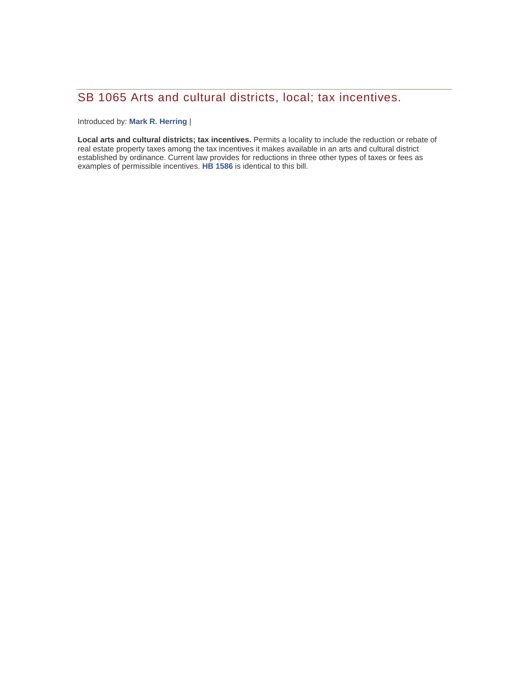# SB 1065 Arts and cultural districts, local; tax incentives.

Introduced by: **[Mark R. Herring](http://lis.virginia.gov/cgi-bin/legp604.exe?131+mbr+S70%20)** |

**Local arts and cultural districts; tax incentives.** Permits a locality to include the reduction or rebate of real estate property taxes among the tax incentives it makes available in an arts and cultural district established by ordinance. Current law provides for reductions in three other types of taxes or fees as examples of permissible incentives. **[HB 1586](http://lis.virginia.gov/cgi-bin/legp604.exe?131+sum+HB1586)** is identical to this bill.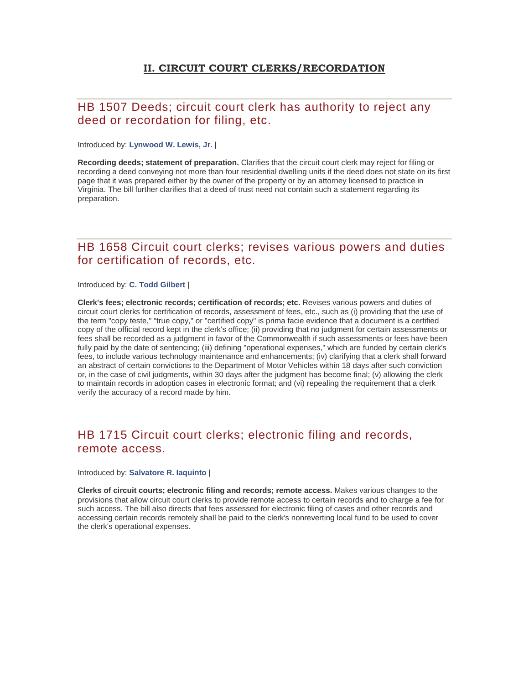### **II. CIRCUIT COURT CLERKS/RECORDATION**

## HB 1507 Deeds; circuit court clerk has authority to reject any deed or recordation for filing, etc.

Introduced by: **[Lynwood W. Lewis, Jr.](http://lis.virginia.gov/cgi-bin/legp604.exe?131+mbr+H169)** |

**Recording deeds; statement of preparation.** Clarifies that the circuit court clerk may reject for filing or recording a deed conveying not more than four residential dwelling units if the deed does not state on its first page that it was prepared either by the owner of the property or by an attorney licensed to practice in Virginia. The bill further clarifies that a deed of trust need not contain such a statement regarding its preparation.

### HB 1658 Circuit court clerks; revises various powers and duties for certification of records, etc.

Introduced by: **[C. Todd Gilbert](http://lis.virginia.gov/cgi-bin/legp604.exe?131+mbr+H181)** |

**Clerk's fees; electronic records; certification of records; etc.** Revises various powers and duties of circuit court clerks for certification of records, assessment of fees, etc., such as (i) providing that the use of the term "copy teste," "true copy," or "certified copy" is prima facie evidence that a document is a certified copy of the official record kept in the clerk's office; (ii) providing that no judgment for certain assessments or fees shall be recorded as a judgment in favor of the Commonwealth if such assessments or fees have been fully paid by the date of sentencing; (iii) defining "operational expenses," which are funded by certain clerk's fees, to include various technology maintenance and enhancements; (iv) clarifying that a clerk shall forward an abstract of certain convictions to the Department of Motor Vehicles within 18 days after such conviction or, in the case of civil judgments, within 30 days after the judgment has become final; (v) allowing the clerk to maintain records in adoption cases in electronic format; and (vi) repealing the requirement that a clerk verify the accuracy of a record made by him.

### HB 1715 Circuit court clerks; electronic filing and records, remote access.

#### Introduced by: **[Salvatore R. Iaquinto](http://lis.virginia.gov/cgi-bin/legp604.exe?131+mbr+H182)** |

**Clerks of circuit courts; electronic filing and records; remote access.** Makes various changes to the provisions that allow circuit court clerks to provide remote access to certain records and to charge a fee for such access. The bill also directs that fees assessed for electronic filing of cases and other records and accessing certain records remotely shall be paid to the clerk's nonreverting local fund to be used to cover the clerk's operational expenses.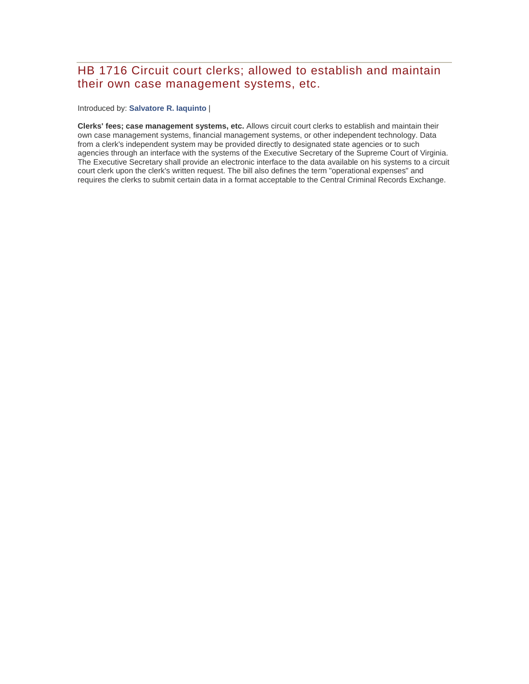## HB 1716 Circuit court clerks; allowed to establish and maintain their own case management systems, etc.

#### Introduced by: **[Salvatore R. Iaquinto](http://lis.virginia.gov/cgi-bin/legp604.exe?131+mbr+H182)** |

**Clerks' fees; case management systems, etc.** Allows circuit court clerks to establish and maintain their own case management systems, financial management systems, or other independent technology. Data from a clerk's independent system may be provided directly to designated state agencies or to such agencies through an interface with the systems of the Executive Secretary of the Supreme Court of Virginia. The Executive Secretary shall provide an electronic interface to the data available on his systems to a circuit court clerk upon the clerk's written request. The bill also defines the term "operational expenses" and requires the clerks to submit certain data in a format acceptable to the Central Criminal Records Exchange.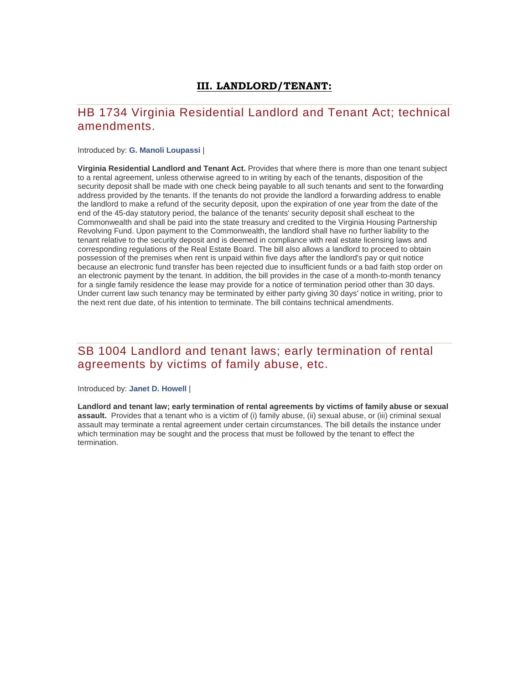### **III. LANDLORD/TENANT:**

## HB 1734 Virginia Residential Landlord and Tenant Act; technical amendments.

#### Introduced by: **[G. Manoli Loupassi](http://lis.virginia.gov/cgi-bin/legp604.exe?131+mbr+H197)** |

**Virginia Residential Landlord and Tenant Act.** Provides that where there is more than one tenant subject to a rental agreement, unless otherwise agreed to in writing by each of the tenants, disposition of the security deposit shall be made with one check being payable to all such tenants and sent to the forwarding address provided by the tenants. If the tenants do not provide the landlord a forwarding address to enable the landlord to make a refund of the security deposit, upon the expiration of one year from the date of the end of the 45-day statutory period, the balance of the tenants' security deposit shall escheat to the Commonwealth and shall be paid into the state treasury and credited to the Virginia Housing Partnership Revolving Fund. Upon payment to the Commonwealth, the landlord shall have no further liability to the tenant relative to the security deposit and is deemed in compliance with real estate licensing laws and corresponding regulations of the Real Estate Board. The bill also allows a landlord to proceed to obtain possession of the premises when rent is unpaid within five days after the landlord's pay or quit notice because an electronic fund transfer has been rejected due to insufficient funds or a bad faith stop order on an electronic payment by the tenant. In addition, the bill provides in the case of a month-to-month tenancy for a single family residence the lease may provide for a notice of termination period other than 30 days. Under current law such tenancy may be terminated by either party giving 30 days' notice in writing, prior to the next rent due date, of his intention to terminate. The bill contains technical amendments.

### SB 1004 Landlord and tenant laws; early termination of rental agreements by victims of family abuse, etc.

#### Introduced by: **[Janet D. Howell](http://lis.virginia.gov/cgi-bin/legp604.exe?131+mbr+S17%20)** |

**Landlord and tenant law; early termination of rental agreements by victims of family abuse or sexual assault.** Provides that a tenant who is a victim of (i) family abuse, (ii) sexual abuse, or (iii) criminal sexual assault may terminate a rental agreement under certain circumstances. The bill details the instance under which termination may be sought and the process that must be followed by the tenant to effect the termination.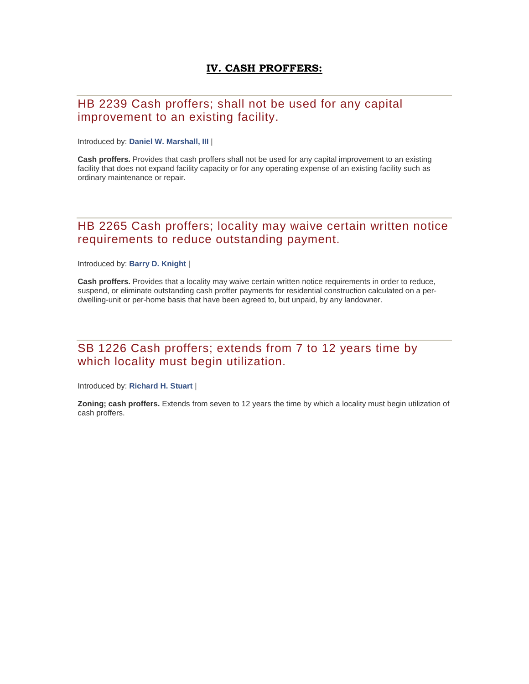### **IV. CASH PROFFERS:**

## HB 2239 Cash proffers; shall not be used for any capital improvement to an existing facility.

Introduced by: **Daniel W. [Marshall, III](http://lis.virginia.gov/cgi-bin/legp604.exe?131+mbr+H150)** |

**Cash proffers.** Provides that cash proffers shall not be used for any capital improvement to an existing facility that does not expand facility capacity or for any operating expense of an existing facility such as ordinary maintenance or repair.

### HB 2265 Cash proffers; locality may waive certain written notice requirements to reduce outstanding payment.

Introduced by: **[Barry D. Knight](http://lis.virginia.gov/cgi-bin/legp604.exe?131+mbr+H206)** |

**Cash proffers.** Provides that a locality may waive certain written notice requirements in order to reduce, suspend, or eliminate outstanding cash proffer payments for residential construction calculated on a perdwelling-unit or per-home basis that have been agreed to, but unpaid, by any landowner.

### SB 1226 Cash proffers; extends from 7 to 12 years time by which locality must begin utilization.

Introduced by: **[Richard H. Stuart](http://lis.virginia.gov/cgi-bin/legp604.exe?131+mbr+S78%20)** |

**Zoning; cash proffers.** Extends from seven to 12 years the time by which a locality must begin utilization of cash proffers.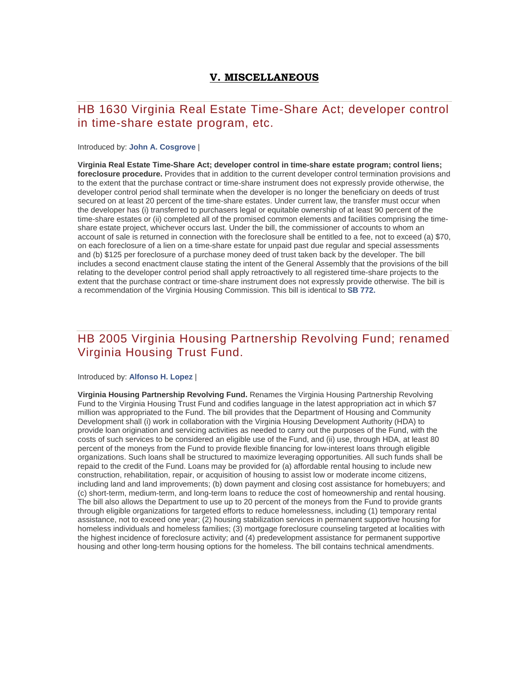### **V. MISCELLANEOUS**

### HB 1630 Virginia Real Estate Time-Share Act; developer control in time-share estate program, etc.

#### Introduced by: **[John A. Cosgrove](http://lis.virginia.gov/cgi-bin/legp604.exe?131+mbr+H143)** |

**Virginia Real Estate Time-Share Act; developer control in time-share estate program; control liens; foreclosure procedure.** Provides that in addition to the current developer control termination provisions and to the extent that the purchase contract or time-share instrument does not expressly provide otherwise, the developer control period shall terminate when the developer is no longer the beneficiary on deeds of trust secured on at least 20 percent of the time-share estates. Under current law, the transfer must occur when the developer has (i) transferred to purchasers legal or equitable ownership of at least 90 percent of the time-share estates or (ii) completed all of the promised common elements and facilities comprising the timeshare estate project, whichever occurs last. Under the bill, the commissioner of accounts to whom an account of sale is returned in connection with the foreclosure shall be entitled to a fee, not to exceed (a) \$70, on each foreclosure of a lien on a time-share estate for unpaid past due regular and special assessments and (b) \$125 per foreclosure of a purchase money deed of trust taken back by the developer. The bill includes a second enactment clause stating the intent of the General Assembly that the provisions of the bill relating to the developer control period shall apply retroactively to all registered time-share projects to the extent that the purchase contract or time-share instrument does not expressly provide otherwise. The bill is a recommendation of the Virginia Housing Commission. This bill is identical to **[SB 772.](http://lis.virginia.gov/cgi-bin/legp604.exe?131+sum+SB772)**

## HB 2005 Virginia Housing Partnership Revolving Fund; renamed Virginia Housing Trust Fund.

#### Introduced by: **[Alfonso H. Lopez](http://lis.virginia.gov/cgi-bin/legp604.exe?131+mbr+H239)** |

**Virginia Housing Partnership Revolving Fund.** Renames the Virginia Housing Partnership Revolving Fund to the Virginia Housing Trust Fund and codifies language in the latest appropriation act in which \$7 million was appropriated to the Fund. The bill provides that the Department of Housing and Community Development shall (i) work in collaboration with the Virginia Housing Development Authority (HDA) to provide loan origination and servicing activities as needed to carry out the purposes of the Fund, with the costs of such services to be considered an eligible use of the Fund, and (ii) use, through HDA, at least 80 percent of the moneys from the Fund to provide flexible financing for low-interest loans through eligible organizations. Such loans shall be structured to maximize leveraging opportunities. All such funds shall be repaid to the credit of the Fund. Loans may be provided for (a) affordable rental housing to include new construction, rehabilitation, repair, or acquisition of housing to assist low or moderate income citizens, including land and land improvements; (b) down payment and closing cost assistance for homebuyers; and (c) short-term, medium-term, and long-term loans to reduce the cost of homeownership and rental housing. The bill also allows the Department to use up to 20 percent of the moneys from the Fund to provide grants through eligible organizations for targeted efforts to reduce homelessness, including (1) temporary rental assistance, not to exceed one year; (2) housing stabilization services in permanent supportive housing for homeless individuals and homeless families; (3) mortgage foreclosure counseling targeted at localities with the highest incidence of foreclosure activity; and (4) predevelopment assistance for permanent supportive housing and other long-term housing options for the homeless. The bill contains technical amendments.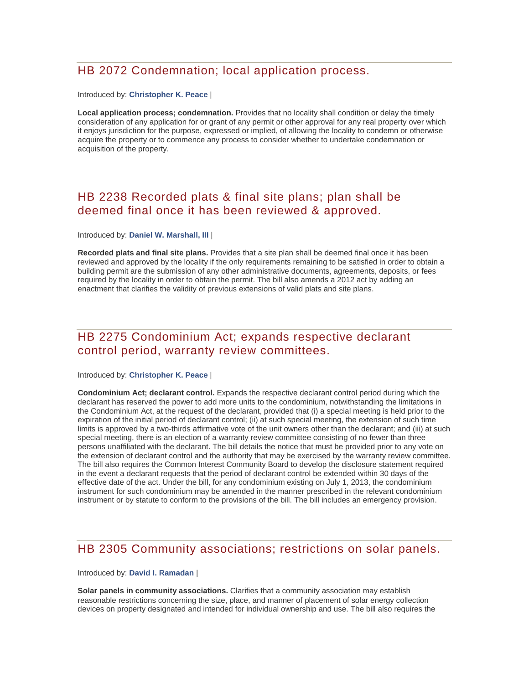## HB 2072 Condemnation; local application process.

#### Introduced by: **[Christopher K. Peace](http://lis.virginia.gov/cgi-bin/legp604.exe?131+mbr+H194)** |

**Local application process; condemnation.** Provides that no locality shall condition or delay the timely consideration of any application for or grant of any permit or other approval for any real property over which it enjoys jurisdiction for the purpose, expressed or implied, of allowing the locality to condemn or otherwise acquire the property or to commence any process to consider whether to undertake condemnation or acquisition of the property.

## HB 2238 Recorded plats & final site plans; plan shall be deemed final once it has been reviewed & approved.

#### Introduced by: **[Daniel W. Marshall, III](http://lis.virginia.gov/cgi-bin/legp604.exe?131+mbr+H150)** |

**Recorded plats and final site plans.** Provides that a site plan shall be deemed final once it has been reviewed and approved by the locality if the only requirements remaining to be satisfied in order to obtain a building permit are the submission of any other administrative documents, agreements, deposits, or fees required by the locality in order to obtain the permit. The bill also amends a 2012 act by adding an enactment that clarifies the validity of previous extensions of valid plats and site plans.

### HB 2275 Condominium Act; expands respective declarant control period, warranty review committees.

#### Introduced by: **[Christopher K. Peace](http://lis.virginia.gov/cgi-bin/legp604.exe?131+mbr+H194)** |

**Condominium Act; declarant control.** Expands the respective declarant control period during which the declarant has reserved the power to add more units to the condominium, notwithstanding the limitations in the Condominium Act, at the request of the declarant, provided that (i) a special meeting is held prior to the expiration of the initial period of declarant control; (ii) at such special meeting, the extension of such time limits is approved by a two-thirds affirmative vote of the unit owners other than the declarant; and (iii) at such special meeting, there is an election of a warranty review committee consisting of no fewer than three persons unaffiliated with the declarant. The bill details the notice that must be provided prior to any vote on the extension of declarant control and the authority that may be exercised by the warranty review committee. The bill also requires the Common Interest Community Board to develop the disclosure statement required in the event a declarant requests that the period of declarant control be extended within 30 days of the effective date of the act. Under the bill, for any condominium existing on July 1, 2013, the condominium instrument for such condominium may be amended in the manner prescribed in the relevant condominium instrument or by statute to conform to the provisions of the bill. The bill includes an emergency provision.

### HB 2305 Community associations; restrictions on solar panels.

#### Introduced by: **[David I. Ramadan](http://lis.virginia.gov/cgi-bin/legp604.exe?131+mbr+H243)** |

**Solar panels in community associations.** Clarifies that a community association may establish reasonable restrictions concerning the size, place, and manner of placement of solar energy collection devices on property designated and intended for individual ownership and use. The bill also requires the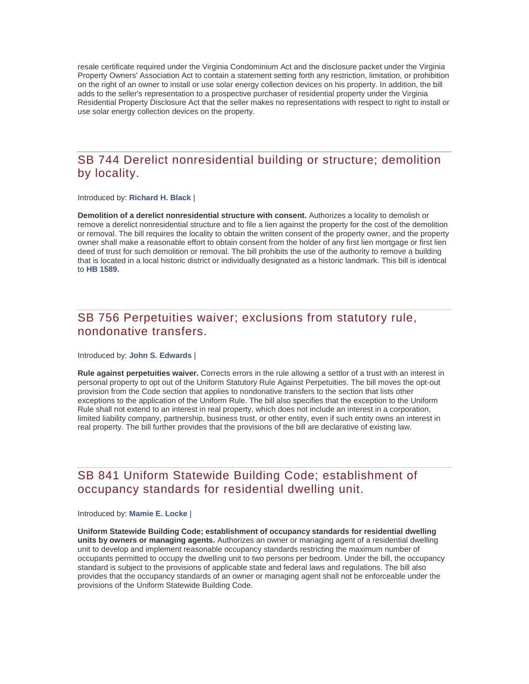resale certificate required under the Virginia Condominium Act and the disclosure packet under the Virginia Property Owners' Association Act to contain a statement setting forth any restriction, limitation, or prohibition on the right of an owner to install or use solar energy collection devices on his property. In addition, the bill adds to the seller's representation to a prospective purchaser of residential property under the Virginia Residential Property Disclosure Act that the seller makes no representations with respect to right to install or use solar energy collection devices on the property.

### SB 744 Derelict nonresidential building or structure; demolition by locality.

Introduced by: **[Richard H. Black](http://lis.virginia.gov/cgi-bin/legp604.exe?131+mbr+S83%20)** |

**Demolition of a derelict nonresidential structure with consent.** Authorizes a locality to demolish or remove a derelict nonresidential structure and to file a lien against the property for the cost of the demolition or removal. The bill requires the locality to obtain the written consent of the property owner, and the property owner shall make a reasonable effort to obtain consent from the holder of any first lien mortgage or first lien deed of trust for such demolition or removal. The bill prohibits the use of the authority to remove a building that is located in a local historic district or individually designated as a historic landmark. This bill is identical to **[HB 1589.](http://lis.virginia.gov/cgi-bin/legp604.exe?131+sum+HB1589)**

### SB 756 Perpetuities waiver; exclusions from statutory rule, nondonative transfers.

#### Introduced by: **[John S. Edwards](http://lis.virginia.gov/cgi-bin/legp604.exe?131+mbr+S45%20)** |

**Rule against perpetuities waiver.** Corrects errors in the rule allowing a settlor of a trust with an interest in personal property to opt out of the Uniform Statutory Rule Against Perpetuities. The bill moves the opt-out provision from the Code section that applies to nondonative transfers to the section that lists other exceptions to the application of the Uniform Rule. The bill also specifies that the exception to the Uniform Rule shall not extend to an interest in real property, which does not include an interest in a corporation, limited liability company, partnership, business trust, or other entity, even if such entity owns an interest in real property. The bill further provides that the provisions of the bill are declarative of existing law.

### SB 841 Uniform Statewide Building Code; establishment of occupancy standards for residential dwelling unit.

#### Introduced by: **[Mamie E. Locke](http://lis.virginia.gov/cgi-bin/legp604.exe?131+mbr+S67%20)** |

**Uniform Statewide Building Code; establishment of occupancy standards for residential dwelling units by owners or managing agents.** Authorizes an owner or managing agent of a residential dwelling unit to develop and implement reasonable occupancy standards restricting the maximum number of occupants permitted to occupy the dwelling unit to two persons per bedroom. Under the bill, the occupancy standard is subject to the provisions of applicable state and federal laws and regulations. The bill also provides that the occupancy standards of an owner or managing agent shall not be enforceable under the provisions of the Uniform Statewide Building Code.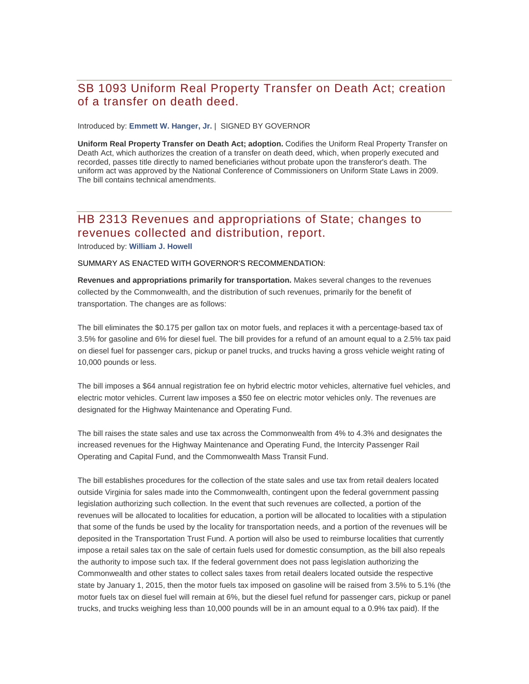## SB 1093 Uniform Real Property Transfer on Death Act; creation of a transfer on death deed.

Introduced by: **[Emmett W. Hanger, Jr.](http://lis.virginia.gov/cgi-bin/legp604.exe?131+mbr+S47%20)** | SIGNED BY GOVERNOR

**Uniform Real Property Transfer on Death Act; adoption.** Codifies the Uniform Real Property Transfer on Death Act, which authorizes the creation of a transfer on death deed, which, when properly executed and recorded, passes title directly to named beneficiaries without probate upon the transferor's death. The uniform act was approved by the National Conference of Commissioners on Uniform State Laws in 2009. The bill contains technical amendments.

### HB 2313 Revenues and appropriations of State; changes to revenues collected and distribution, report.

Introduced by: **[William J. Howell](http://lis.virginia.gov/cgi-bin/legp604.exe?131+mbr+H46%20)**

#### SUMMARY AS ENACTED WITH GOVERNOR'S RECOMMENDATION:

**Revenues and appropriations primarily for transportation.** Makes several changes to the revenues collected by the Commonwealth, and the distribution of such revenues, primarily for the benefit of transportation. The changes are as follows:

The bill eliminates the \$0.175 per gallon tax on motor fuels, and replaces it with a percentage-based tax of 3.5% for gasoline and 6% for diesel fuel. The bill provides for a refund of an amount equal to a 2.5% tax paid on diesel fuel for passenger cars, pickup or panel trucks, and trucks having a gross vehicle weight rating of 10,000 pounds or less.

The bill imposes a \$64 annual registration fee on hybrid electric motor vehicles, alternative fuel vehicles, and electric motor vehicles. Current law imposes a \$50 fee on electric motor vehicles only. The revenues are designated for the Highway Maintenance and Operating Fund.

The bill raises the state sales and use tax across the Commonwealth from 4% to 4.3% and designates the increased revenues for the Highway Maintenance and Operating Fund, the Intercity Passenger Rail Operating and Capital Fund, and the Commonwealth Mass Transit Fund.

The bill establishes procedures for the collection of the state sales and use tax from retail dealers located outside Virginia for sales made into the Commonwealth, contingent upon the federal government passing legislation authorizing such collection. In the event that such revenues are collected, a portion of the revenues will be allocated to localities for education, a portion will be allocated to localities with a stipulation that some of the funds be used by the locality for transportation needs, and a portion of the revenues will be deposited in the Transportation Trust Fund. A portion will also be used to reimburse localities that currently impose a retail sales tax on the sale of certain fuels used for domestic consumption, as the bill also repeals the authority to impose such tax. If the federal government does not pass legislation authorizing the Commonwealth and other states to collect sales taxes from retail dealers located outside the respective state by January 1, 2015, then the motor fuels tax imposed on gasoline will be raised from 3.5% to 5.1% (the motor fuels tax on diesel fuel will remain at 6%, but the diesel fuel refund for passenger cars, pickup or panel trucks, and trucks weighing less than 10,000 pounds will be in an amount equal to a 0.9% tax paid). If the